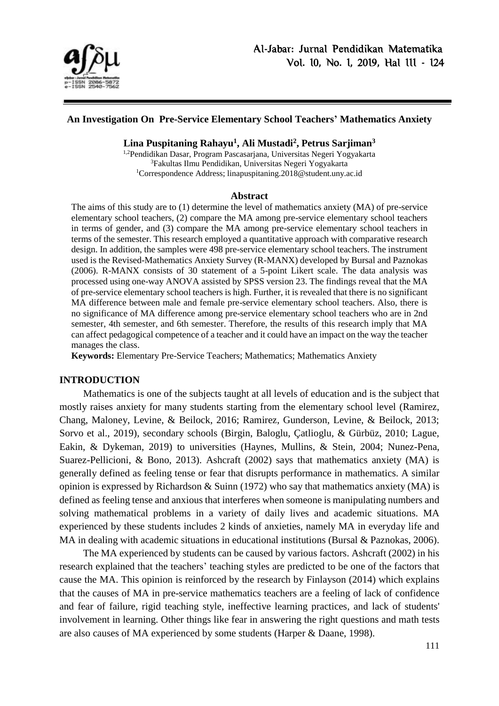

#### **An Investigation On Pre-Service Elementary School Teachers' Mathematics Anxiety**

### **Lina Puspitaning Rahayu<sup>1</sup> , Ali Mustadi<sup>2</sup> , Petrus Sarjiman<sup>3</sup>**

1,2Pendidikan Dasar, Program Pascasarjana, Universitas Negeri Yogyakarta <sup>3</sup>Fakultas Ilmu Pendidikan, Universitas Negeri Yogyakarta <sup>1</sup>Correspondence Address; linapuspitaning.2018@student.uny.ac.id

#### **Abstract**

The aims of this study are to (1) determine the level of mathematics anxiety (MA) of pre-service elementary school teachers, (2) compare the MA among pre-service elementary school teachers in terms of gender, and (3) compare the MA among pre-service elementary school teachers in terms of the semester. This research employed a quantitative approach with comparative research design. In addition, the samples were 498 pre-service elementary school teachers. The instrument used is the Revised-Mathematics Anxiety Survey (R-MANX) developed by Bursal and Paznokas (2006). R-MANX consists of 30 statement of a 5-point Likert scale. The data analysis was processed using one-way ANOVA assisted by SPSS version 23. The findings reveal that the MA of pre-service elementary school teachers is high. Further, it is revealed that there is no significant MA difference between male and female pre-service elementary school teachers. Also, there is no significance of MA difference among pre-service elementary school teachers who are in 2nd semester, 4th semester, and 6th semester. Therefore, the results of this research imply that MA can affect pedagogical competence of a teacher and it could have an impact on the way the teacher manages the class.

**Keywords:** Elementary Pre-Service Teachers; Mathematics; Mathematics Anxiety

#### **INTRODUCTION**

Mathematics is one of the subjects taught at all levels of education and is the subject that mostly raises anxiety for many students starting from the elementary school level (Ramirez, Chang, Maloney, Levine, & Beilock, 2016; Ramirez, Gunderson, Levine, & Beilock, 2013; Sorvo et al., 2019), secondary schools (Birgin, Baloglu, Çatlioglu, & Gürbüz, 2010; Lague, Eakin, & Dykeman, 2019) to universities (Haynes, Mullins, & Stein, 2004; Nunez-Pena, Suarez-Pellicioni, & Bono, 2013). Ashcraft (2002) says that mathematics anxiety (MA) is generally defined as feeling tense or fear that disrupts performance in mathematics. A similar opinion is expressed by Richardson & Suinn (1972) who say that mathematics anxiety (MA) is defined as feeling tense and anxious that interferes when someone is manipulating numbers and solving mathematical problems in a variety of daily lives and academic situations. MA experienced by these students includes 2 kinds of anxieties, namely MA in everyday life and MA in dealing with academic situations in educational institutions (Bursal & Paznokas, 2006).

The MA experienced by students can be caused by various factors. Ashcraft (2002) in his research explained that the teachers' teaching styles are predicted to be one of the factors that cause the MA. This opinion is reinforced by the research by Finlayson (2014) which explains that the causes of MA in pre-service mathematics teachers are a feeling of lack of confidence and fear of failure, rigid teaching style, ineffective learning practices, and lack of students' involvement in learning. Other things like fear in answering the right questions and math tests are also causes of MA experienced by some students (Harper & Daane, 1998).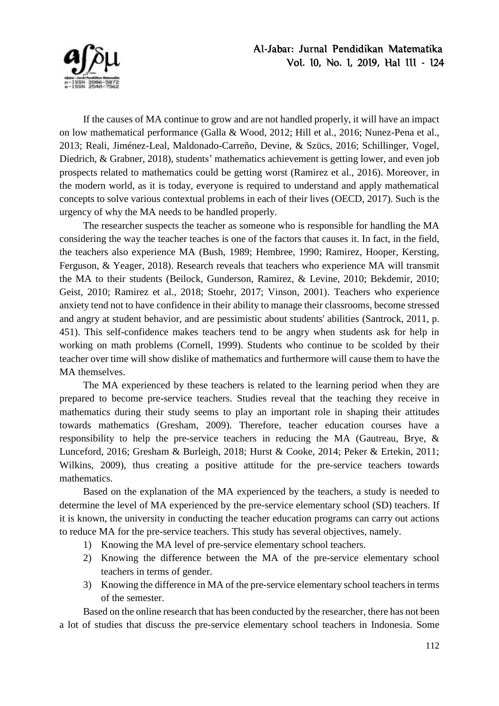

If the causes of MA continue to grow and are not handled properly, it will have an impact on low mathematical performance (Galla & Wood, 2012; Hill et al., 2016; Nunez-Pena et al., 2013; Reali, Jiménez-Leal, Maldonado-Carreño, Devine, & Szücs, 2016; Schillinger, Vogel, Diedrich, & Grabner, 2018), students' mathematics achievement is getting lower, and even job prospects related to mathematics could be getting worst (Ramirez et al., 2016). Moreover, in the modern world, as it is today, everyone is required to understand and apply mathematical concepts to solve various contextual problems in each of their lives (OECD, 2017). Such is the urgency of why the MA needs to be handled properly.

The researcher suspects the teacher as someone who is responsible for handling the MA considering the way the teacher teaches is one of the factors that causes it. In fact, in the field, the teachers also experience MA (Bush, 1989; Hembree, 1990; Ramirez, Hooper, Kersting, Ferguson, & Yeager, 2018). Research reveals that teachers who experience MA will transmit the MA to their students (Beilock, Gunderson, Ramirez, & Levine, 2010; Bekdemir, 2010; Geist, 2010; Ramirez et al., 2018; Stoehr, 2017; Vinson, 2001). Teachers who experience anxiety tend not to have confidence in their ability to manage their classrooms, become stressed and angry at student behavior, and are pessimistic about students' abilities (Santrock, 2011, p. 451). This self-confidence makes teachers tend to be angry when students ask for help in working on math problems (Cornell, 1999). Students who continue to be scolded by their teacher over time will show dislike of mathematics and furthermore will cause them to have the MA themselves.

The MA experienced by these teachers is related to the learning period when they are prepared to become pre-service teachers. Studies reveal that the teaching they receive in mathematics during their study seems to play an important role in shaping their attitudes towards mathematics (Gresham, 2009). Therefore, teacher education courses have a responsibility to help the pre-service teachers in reducing the MA (Gautreau, Brye, & Lunceford, 2016; Gresham & Burleigh, 2018; Hurst & Cooke, 2014; Peker & Ertekin, 2011; Wilkins, 2009), thus creating a positive attitude for the pre-service teachers towards mathematics.

Based on the explanation of the MA experienced by the teachers, a study is needed to determine the level of MA experienced by the pre-service elementary school (SD) teachers. If it is known, the university in conducting the teacher education programs can carry out actions to reduce MA for the pre-service teachers. This study has several objectives, namely.

- 1) Knowing the MA level of pre-service elementary school teachers.
- 2) Knowing the difference between the MA of the pre-service elementary school teachers in terms of gender.
- 3) Knowing the difference in MA of the pre-service elementary school teachers in terms of the semester.

Based on the online research that has been conducted by the researcher, there has not been a lot of studies that discuss the pre-service elementary school teachers in Indonesia. Some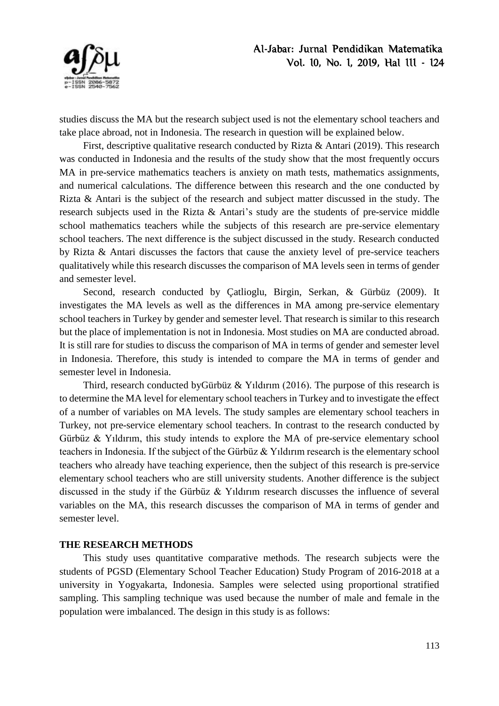

studies discuss the MA but the research subject used is not the elementary school teachers and take place abroad, not in Indonesia. The research in question will be explained below.

First, descriptive qualitative research conducted by Rizta & Antari (2019). This research was conducted in Indonesia and the results of the study show that the most frequently occurs MA in pre-service mathematics teachers is anxiety on math tests, mathematics assignments, and numerical calculations. The difference between this research and the one conducted by Rizta & Antari is the subject of the research and subject matter discussed in the study. The research subjects used in the Rizta & Antari's study are the students of pre-service middle school mathematics teachers while the subjects of this research are pre-service elementary school teachers. The next difference is the subject discussed in the study. Research conducted by Rizta & Antari discusses the factors that cause the anxiety level of pre-service teachers qualitatively while this research discusses the comparison of MA levels seen in terms of gender and semester level.

Second, research conducted by Çatlioglu, Birgin, Serkan, & Gürbüz (2009). It investigates the MA levels as well as the differences in MA among pre-service elementary school teachers in Turkey by gender and semester level. That research is similar to this research but the place of implementation is not in Indonesia. Most studies on MA are conducted abroad. It is still rare for studies to discuss the comparison of MA in terms of gender and semester level in Indonesia. Therefore, this study is intended to compare the MA in terms of gender and semester level in Indonesia.

Third, research conducted byGürbüz & Yıldırım (2016). The purpose of this research is to determine the MA level for elementary school teachers in Turkey and to investigate the effect of a number of variables on MA levels. The study samples are elementary school teachers in Turkey, not pre-service elementary school teachers. In contrast to the research conducted by Gürbüz & Yıldırım, this study intends to explore the MA of pre-service elementary school teachers in Indonesia. If the subject of the Gürbüz & Yıldırım research is the elementary school teachers who already have teaching experience, then the subject of this research is pre-service elementary school teachers who are still university students. Another difference is the subject discussed in the study if the Gürbüz & Yıldırım research discusses the influence of several variables on the MA, this research discusses the comparison of MA in terms of gender and semester level.

#### **THE RESEARCH METHODS**

This study uses quantitative comparative methods. The research subjects were the students of PGSD (Elementary School Teacher Education) Study Program of 2016-2018 at a university in Yogyakarta, Indonesia. Samples were selected using proportional stratified sampling. This sampling technique was used because the number of male and female in the population were imbalanced. The design in this study is as follows: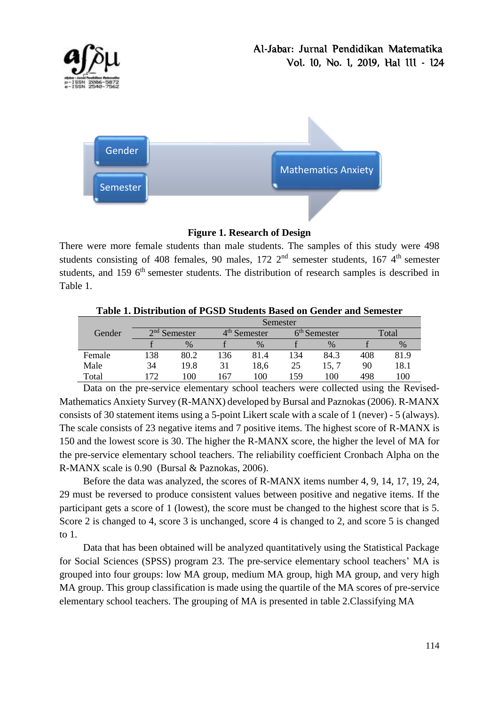



## **Figure 1. Research of Design**

There were more female students than male students. The samples of this study were 498 students consisting of 408 females, 90 males,  $172 \, 2^{nd}$  semester students,  $167 \, 4^{th}$  semester students, and 159 6<sup>th</sup> semester students. The distribution of research samples is described in Table 1.

|        |     | Semester       |     |                          |     |                |     |       |
|--------|-----|----------------|-----|--------------------------|-----|----------------|-----|-------|
| Gender |     | $2nd$ Semester |     | 4 <sup>th</sup> Semester |     | $6th$ Semester |     | Total |
|        |     | $\%$           |     | $\%$                     |     | $\frac{0}{0}$  |     | $\%$  |
| Female | 138 | 80.2           | 136 | 81.4                     | 134 | 84.3           | 408 | 81.9  |
| Male   | 34  | 19.8           | 31  | 18,6                     | 25  | 15, 7          | 90  | 18.1  |
| Total  | 172 | 100            | 167 | 100                      | 59  | 100            | 498 | 100   |

**Table 1. Distribution of PGSD Students Based on Gender and Semester**

Data on the pre-service elementary school teachers were collected using the Revised-Mathematics Anxiety Survey (R-MANX) developed by Bursal and Paznokas (2006). R-MANX consists of 30 statement items using a 5-point Likert scale with a scale of 1 (never) - 5 (always). The scale consists of 23 negative items and 7 positive items. The highest score of R-MANX is 150 and the lowest score is 30. The higher the R-MANX score, the higher the level of MA for the pre-service elementary school teachers. The reliability coefficient Cronbach Alpha on the R-MANX scale is 0.90 (Bursal & Paznokas, 2006).

Before the data was analyzed, the scores of R-MANX items number 4, 9, 14, 17, 19, 24, 29 must be reversed to produce consistent values between positive and negative items. If the participant gets a score of 1 (lowest), the score must be changed to the highest score that is 5. Score 2 is changed to 4, score 3 is unchanged, score 4 is changed to 2, and score 5 is changed to 1.

Data that has been obtained will be analyzed quantitatively using the Statistical Package for Social Sciences (SPSS) program 23. The pre-service elementary school teachers' MA is grouped into four groups: low MA group, medium MA group, high MA group, and very high MA group. This group classification is made using the quartile of the MA scores of pre-service elementary school teachers. The grouping of MA is presented in table 2.Classifying MA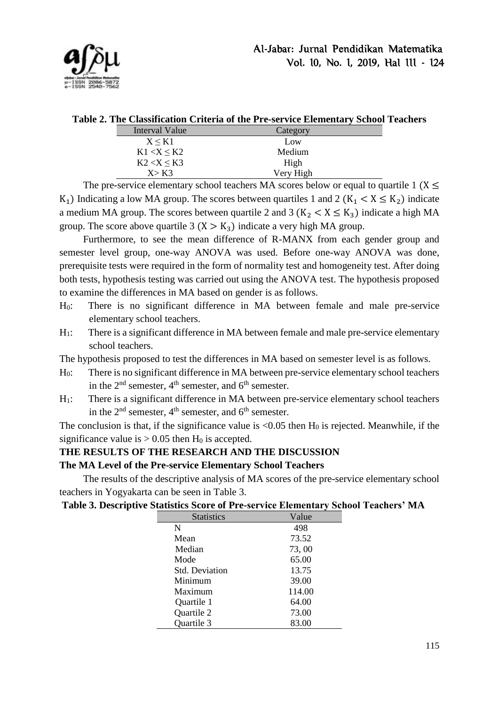

|  | Table 2. The Classification Criteria of the Pre-service Elementary School Teachers |  |  |  |  |  |
|--|------------------------------------------------------------------------------------|--|--|--|--|--|
|--|------------------------------------------------------------------------------------|--|--|--|--|--|

| Category  |
|-----------|
| Low       |
| Medium    |
| High      |
| Very High |
|           |

The pre-service elementary school teachers MA scores below or equal to quartile 1 ( $X \leq$ K<sub>1</sub>) Indicating a low MA group. The scores between quartiles 1 and 2 (K<sub>1</sub>  $\lt X \leq K_2$ ) indicate a medium MA group. The scores between quartile 2 and 3 ( $K_2 < X \le K_3$ ) indicate a high MA group. The score above quartile 3  $(X > K_3)$  indicate a very high MA group.

Furthermore, to see the mean difference of R-MANX from each gender group and semester level group, one-way ANOVA was used. Before one-way ANOVA was done, prerequisite tests were required in the form of normality test and homogeneity test. After doing both tests, hypothesis testing was carried out using the ANOVA test. The hypothesis proposed to examine the differences in MA based on gender is as follows.

- H0: There is no significant difference in MA between female and male pre-service elementary school teachers.
- H<sub>1</sub>: There is a significant difference in MA between female and male pre-service elementary school teachers.

The hypothesis proposed to test the differences in MA based on semester level is as follows.

- H0: There is no significant difference in MA between pre-service elementary school teachers in the  $2<sup>nd</sup>$  semester,  $4<sup>th</sup>$  semester, and  $6<sup>th</sup>$  semester.
- H1: There is a significant difference in MA between pre-service elementary school teachers in the  $2<sup>nd</sup>$  semester,  $4<sup>th</sup>$  semester, and  $6<sup>th</sup>$  semester.

The conclusion is that, if the significance value is  $< 0.05$  then  $H_0$  is rejected. Meanwhile, if the significance value is  $> 0.05$  then H<sub>0</sub> is accepted.

## **THE RESULTS OF THE RESEARCH AND THE DISCUSSION**

#### **The MA Level of the Pre-service Elementary School Teachers**

The results of the descriptive analysis of MA scores of the pre-service elementary school teachers in Yogyakarta can be seen in Table 3.

| <b>Statistics</b>     | Value  |
|-----------------------|--------|
| N                     | 498    |
| Mean                  | 73.52  |
| Median                | 73,00  |
| Mode                  | 65.00  |
| <b>Std. Deviation</b> | 13.75  |
| Minimum               | 39.00  |
| Maximum               | 114.00 |
| Quartile 1            | 64.00  |
| Quartile 2            | 73.00  |
| <b>Ouartile 3</b>     | 83.00  |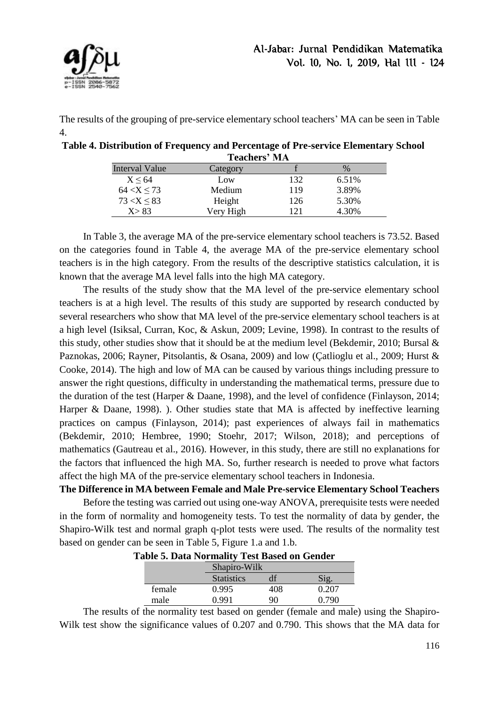

The results of the grouping of pre-service elementary school teachers' MA can be seen in Table 4.

| Table 4. Distribution of Frequency and Percentage of Pre-service Elementary School |  |
|------------------------------------------------------------------------------------|--|
| <b>Teachers' MA</b>                                                                |  |

| Interval Value   | Category  |     | $\%$     |
|------------------|-----------|-----|----------|
| $X \leq 64$      | Low       | 132 | $6.51\%$ |
| $64 < X \le 73$  | Medium    | 119 | 3.89%    |
| $73 < X \leq 83$ | Height    | 126 | 5.30%    |
| X > 83           | Very High | 121 | 4.30%    |

In Table 3, the average MA of the pre-service elementary school teachers is 73.52. Based on the categories found in Table 4, the average MA of the pre-service elementary school teachers is in the high category. From the results of the descriptive statistics calculation, it is known that the average MA level falls into the high MA category.

The results of the study show that the MA level of the pre-service elementary school teachers is at a high level. The results of this study are supported by research conducted by several researchers who show that MA level of the pre-service elementary school teachers is at a high level (Isiksal, Curran, Koc, & Askun, 2009; Levine, 1998). In contrast to the results of this study, other studies show that it should be at the medium level (Bekdemir, 2010; Bursal  $\&$ Paznokas, 2006; Rayner, Pitsolantis, & Osana, 2009) and low (Çatlioglu et al., 2009; Hurst & Cooke, 2014). The high and low of MA can be caused by various things including pressure to answer the right questions, difficulty in understanding the mathematical terms, pressure due to the duration of the test (Harper & Daane, 1998), and the level of confidence (Finlayson, 2014; Harper & Daane, 1998). ). Other studies state that MA is affected by ineffective learning practices on campus (Finlayson, 2014); past experiences of always fail in mathematics (Bekdemir, 2010; Hembree, 1990; Stoehr, 2017; Wilson, 2018); and perceptions of mathematics (Gautreau et al., 2016). However, in this study, there are still no explanations for the factors that influenced the high MA. So, further research is needed to prove what factors affect the high MA of the pre-service elementary school teachers in Indonesia.

**The Difference in MA between Female and Male Pre-service Elementary School Teachers**  Before the testing was carried out using one-way ANOVA, prerequisite tests were needed in the form of normality and homogeneity tests. To test the normality of data by gender, the Shapiro-Wilk test and normal graph q-plot tests were used. The results of the normality test based on gender can be seen in Table 5, Figure 1.a and 1.b.

| abie 5. Data iyoi manty 4 est dascu on Genuel |                   |     |              |  |  |
|-----------------------------------------------|-------------------|-----|--------------|--|--|
|                                               | Shapiro-Wilk      |     |              |  |  |
|                                               | <b>Statistics</b> |     | $\delta$ ig. |  |  |
| female                                        | 0.995             | 408 | 0.207        |  |  |
| male                                          | በ 991             | 90  | O 790        |  |  |

**Table 5. Data Normality Test Based on Gender**

The results of the normality test based on gender (female and male) using the Shapiro-Wilk test show the significance values of 0.207 and 0.790. This shows that the MA data for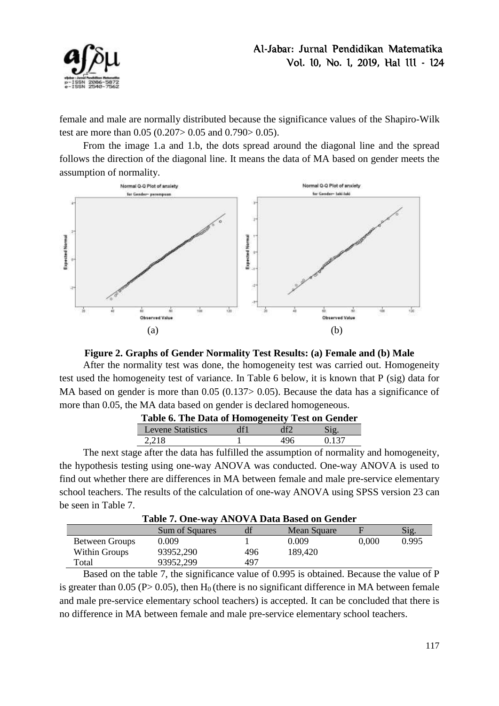

female and male are normally distributed because the significance values of the Shapiro-Wilk test are more than 0.05 (0.207> 0.05 and 0.790> 0.05).

From the image 1.a and 1.b, the dots spread around the diagonal line and the spread follows the direction of the diagonal line. It means the data of MA based on gender meets the assumption of normality.





After the normality test was done, the homogeneity test was carried out. Homogeneity test used the homogeneity test of variance. In Table 6 below, it is known that P (sig) data for MA based on gender is more than 0.05 (0.137> 0.05). Because the data has a significance of more than 0.05, the MA data based on gender is declared homogeneous.

| Table 6. The Data of Homogeneity Test on Gender |     |     |       |  |  |  |
|-------------------------------------------------|-----|-----|-------|--|--|--|
| Levene Statistics                               | df1 | df  | S19   |  |  |  |
| 2,218                                           |     | 496 | 0.137 |  |  |  |

The next stage after the data has fulfilled the assumption of normality and homogeneity, the hypothesis testing using one-way ANOVA was conducted. One-way ANOVA is used to find out whether there are differences in MA between female and male pre-service elementary school teachers. The results of the calculation of one-way ANOVA using SPSS version 23 can be seen in Table 7.

| Table 7. One-way ANOVA Data Based on Gender |                |     |             |       |                 |  |
|---------------------------------------------|----------------|-----|-------------|-------|-----------------|--|
|                                             | Sum of Squares | df  | Mean Square |       | $\mathrm{Sig.}$ |  |
| Between Groups                              | 0.009          |     | 0.009       | 0,000 | 0.995           |  |
| Within Groups                               | 93952,290      | 496 | 189,420     |       |                 |  |
| Total                                       | 93952,299      | 497 |             |       |                 |  |

Based on the table 7, the significance value of 0.995 is obtained. Because the value of P is greater than 0.05 ( $P > 0.05$ ), then H<sub>0</sub> (there is no significant difference in MA between female and male pre-service elementary school teachers) is accepted. It can be concluded that there is no difference in MA between female and male pre-service elementary school teachers.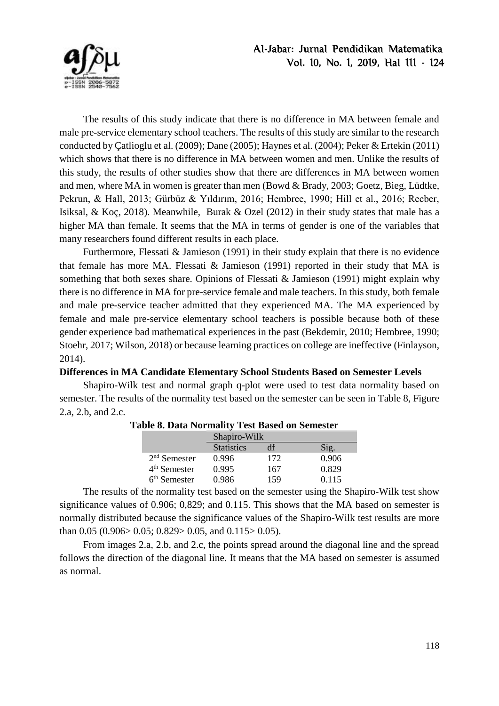

The results of this study indicate that there is no difference in MA between female and male pre-service elementary school teachers. The results of this study are similar to the research conducted by Çatlioglu et al. (2009); Dane (2005); Haynes et al. (2004); Peker & Ertekin (2011) which shows that there is no difference in MA between women and men. Unlike the results of this study, the results of other studies show that there are differences in MA between women and men, where MA in women is greater than men (Bowd & Brady, 2003; Goetz, Bieg, Lüdtke, Pekrun, & Hall, 2013; Gürbüz & Yıldırım, 2016; Hembree, 1990; Hill et al., 2016; Recber, Isiksal, & Koç, 2018). Meanwhile, Burak & Ozel (2012) in their study states that male has a higher MA than female. It seems that the MA in terms of gender is one of the variables that many researchers found different results in each place.

Furthermore, Flessati & Jamieson (1991) in their study explain that there is no evidence that female has more MA. Flessati & Jamieson (1991) reported in their study that MA is something that both sexes share. Opinions of Flessati & Jamieson (1991) might explain why there is no difference in MA for pre-service female and male teachers. In this study, both female and male pre-service teacher admitted that they experienced MA. The MA experienced by female and male pre-service elementary school teachers is possible because both of these gender experience bad mathematical experiences in the past (Bekdemir, 2010; Hembree, 1990; Stoehr, 2017; Wilson, 2018) or because learning practices on college are ineffective (Finlayson, 2014).

#### **Differences in MA Candidate Elementary School Students Based on Semester Levels**

Shapiro-Wilk test and normal graph q-plot were used to test data normality based on semester. The results of the normality test based on the semester can be seen in Table 8, Figure 2.a, 2.b, and 2.c.

|                | Shapiro-Wilk      |     |       |  |
|----------------|-------------------|-----|-------|--|
|                | <b>Statistics</b> |     |       |  |
| $2nd$ Semester | 0.996             | 172 | 0.906 |  |
| $4th$ Semester | 0.995             | 167 | 0.829 |  |
| $6th$ Semester | 0.986             | 159 | 0.115 |  |

#### **Table 8. Data Normality Test Based on Semester**

The results of the normality test based on the semester using the Shapiro-Wilk test show significance values of 0.906; 0,829; and 0.115. This shows that the MA based on semester is normally distributed because the significance values of the Shapiro-Wilk test results are more than 0.05 (0.906 > 0.05; 0.829 > 0.05, and 0.115 > 0.05).

From images 2.a, 2.b, and 2.c, the points spread around the diagonal line and the spread follows the direction of the diagonal line. It means that the MA based on semester is assumed as normal.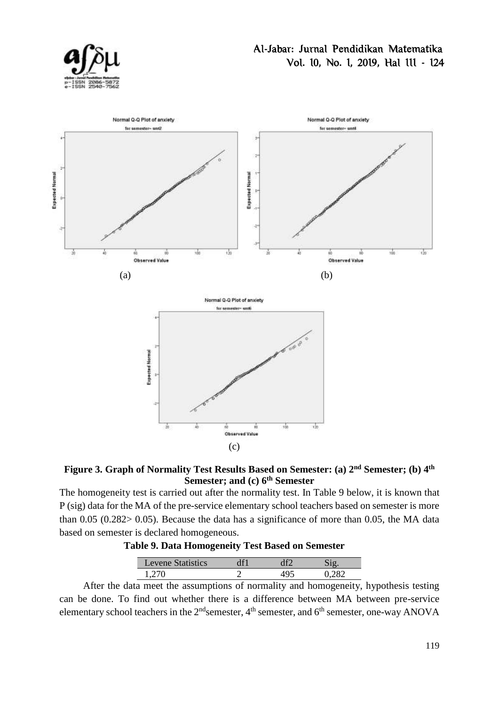



### **Figure 3. Graph of Normality Test Results Based on Semester: (a) 2 nd Semester; (b) 4 th Semester; and (c) 6 th Semester**

The homogeneity test is carried out after the normality test. In Table 9 below, it is known that P (sig) data for the MA of the pre-service elementary school teachers based on semester is more than 0.05 (0.282> 0.05). Because the data has a significance of more than 0.05, the MA data based on semester is declared homogeneous.

| <b>Table 9. Data Homogeneity Test Based on Semester</b> |
|---------------------------------------------------------|
|---------------------------------------------------------|

| Levene<br>$\sim$ |  |  |
|------------------|--|--|
|                  |  |  |

After the data meet the assumptions of normality and homogeneity, hypothesis testing can be done. To find out whether there is a difference between MA between pre-service elementary school teachers in the  $2^{nd}$ semester,  $4^{th}$  semester, and  $6^{th}$  semester, one-way ANOVA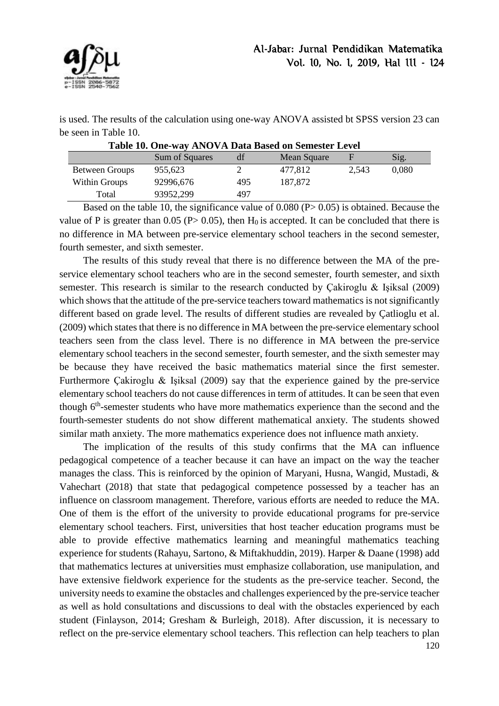

is used. The results of the calculation using one-way ANOVA assisted bt SPSS version 23 can be seen in Table 10.

| Table 10. One-way ANOVA Data Based on Semester Level |                |     |             |       |                 |  |  |
|------------------------------------------------------|----------------|-----|-------------|-------|-----------------|--|--|
|                                                      | Sum of Squares | df  | Mean Square | F     | $\mathrm{Sig.}$ |  |  |
| Between Groups                                       | 955.623        |     | 477.812     | 2,543 | 0,080           |  |  |
| Within Groups                                        | 92996,676      | 495 | 187,872     |       |                 |  |  |
| Total                                                | 93952,299      | 497 |             |       |                 |  |  |

Based on the table 10, the significance value of 0.080 (P> 0.05) is obtained. Because the value of P is greater than 0.05 (P $> 0.05$ ), then H<sub>0</sub> is accepted. It can be concluded that there is no difference in MA between pre-service elementary school teachers in the second semester, fourth semester, and sixth semester.

The results of this study reveal that there is no difference between the MA of the preservice elementary school teachers who are in the second semester, fourth semester, and sixth semester. This research is similar to the research conducted by Çakiroglu & Işiksal (2009) which shows that the attitude of the pre-service teachers toward mathematics is not significantly different based on grade level. The results of different studies are revealed by Çatlioglu et al. (2009) which states that there is no difference in MA between the pre-service elementary school teachers seen from the class level. There is no difference in MA between the pre-service elementary school teachers in the second semester, fourth semester, and the sixth semester may be because they have received the basic mathematics material since the first semester. Furthermore Çakiroglu & Işiksal (2009) say that the experience gained by the pre-service elementary school teachers do not cause differences in term of attitudes. It can be seen that even though 6<sup>th</sup>-semester students who have more mathematics experience than the second and the fourth-semester students do not show different mathematical anxiety. The students showed similar math anxiety. The more mathematics experience does not influence math anxiety.

The implication of the results of this study confirms that the MA can influence pedagogical competence of a teacher because it can have an impact on the way the teacher manages the class. This is reinforced by the opinion of Maryani, Husna, Wangid, Mustadi, & Vahechart (2018) that state that pedagogical competence possessed by a teacher has an influence on classroom management. Therefore, various efforts are needed to reduce the MA. One of them is the effort of the university to provide educational programs for pre-service elementary school teachers. First, universities that host teacher education programs must be able to provide effective mathematics learning and meaningful mathematics teaching experience for students (Rahayu, Sartono, & Miftakhuddin, 2019). Harper & Daane (1998) add that mathematics lectures at universities must emphasize collaboration, use manipulation, and have extensive fieldwork experience for the students as the pre-service teacher. Second, the university needs to examine the obstacles and challenges experienced by the pre-service teacher as well as hold consultations and discussions to deal with the obstacles experienced by each student (Finlayson, 2014; Gresham & Burleigh, 2018). After discussion, it is necessary to reflect on the pre-service elementary school teachers. This reflection can help teachers to plan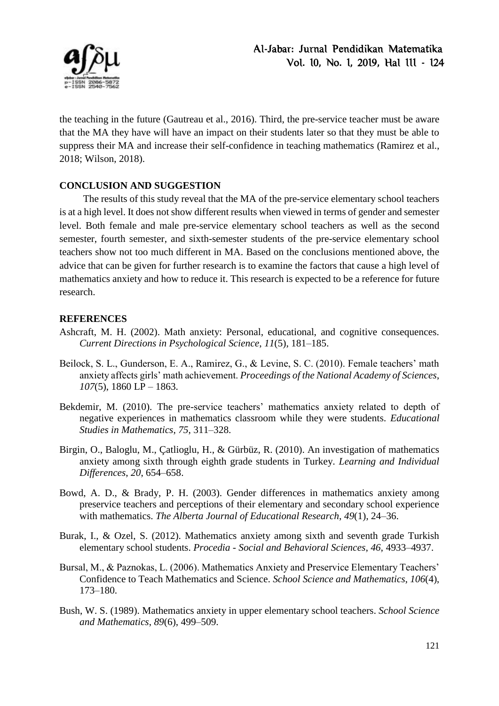

the teaching in the future (Gautreau et al., 2016). Third, the pre-service teacher must be aware that the MA they have will have an impact on their students later so that they must be able to suppress their MA and increase their self-confidence in teaching mathematics (Ramirez et al., 2018; Wilson, 2018).

## **CONCLUSION AND SUGGESTION**

The results of this study reveal that the MA of the pre-service elementary school teachers is at a high level. It does not show different results when viewed in terms of gender and semester level. Both female and male pre-service elementary school teachers as well as the second semester, fourth semester, and sixth-semester students of the pre-service elementary school teachers show not too much different in MA. Based on the conclusions mentioned above, the advice that can be given for further research is to examine the factors that cause a high level of mathematics anxiety and how to reduce it. This research is expected to be a reference for future research.

### **REFERENCES**

- Ashcraft, M. H. (2002). Math anxiety: Personal, educational, and cognitive consequences. *Current Directions in Psychological Science*, *11*(5), 181–185.
- Beilock, S. L., Gunderson, E. A., Ramirez, G., & Levine, S. C. (2010). Female teachers' math anxiety affects girls' math achievement. *Proceedings of the National Academy of Sciences*, *107*(5), 1860 LP – 1863.
- Bekdemir, M. (2010). The pre-service teachers' mathematics anxiety related to depth of negative experiences in mathematics classroom while they were students. *Educational Studies in Mathematics*, *75*, 311–328.
- Birgin, O., Baloglu, M., Çatlioglu, H., & Gürbüz, R. (2010). An investigation of mathematics anxiety among sixth through eighth grade students in Turkey. *Learning and Individual Differences*, *20*, 654–658.
- Bowd, A. D., & Brady, P. H. (2003). Gender differences in mathematics anxiety among preservice teachers and perceptions of their elementary and secondary school experience with mathematics. *The Alberta Journal of Educational Research*, *49*(1), 24–36.
- Burak, I., & Ozel, S. (2012). Mathematics anxiety among sixth and seventh grade Turkish elementary school students. *Procedia - Social and Behavioral Sciences*, *46*, 4933–4937.
- Bursal, M., & Paznokas, L. (2006). Mathematics Anxiety and Preservice Elementary Teachers' Confidence to Teach Mathematics and Science. *School Science and Mathematics*, *106*(4), 173–180.
- Bush, W. S. (1989). Mathematics anxiety in upper elementary school teachers. *School Science and Mathematics*, *89*(6), 499–509.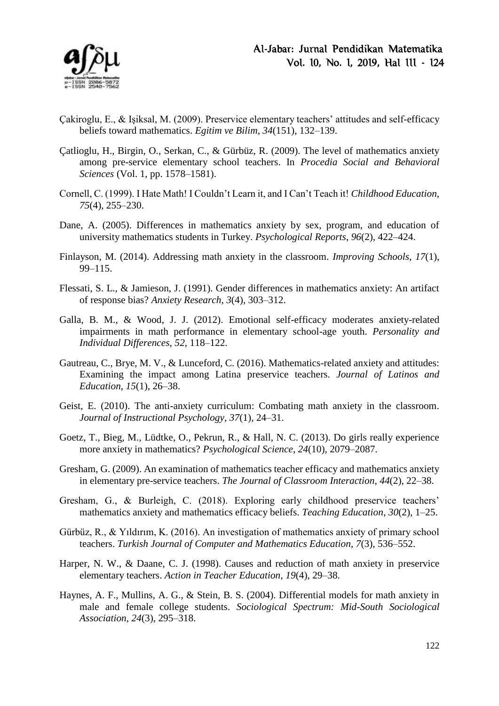

- Çakiroglu, E., & Işiksal, M. (2009). Preservice elementary teachers' attitudes and self-efficacy beliefs toward mathematics. *Egitim ve Bilim*, *34*(151), 132–139.
- Çatlioglu, H., Birgin, O., Serkan, C., & Gürbüz, R. (2009). The level of mathematics anxiety among pre-service elementary school teachers. In *Procedia Social and Behavioral Sciences* (Vol. 1, pp. 1578–1581).
- Cornell, C. (1999). I Hate Math! I Couldn't Learn it, and I Can't Teach it! *Childhood Education*, *75*(4), 255–230.
- Dane, A. (2005). Differences in mathematics anxiety by sex, program, and education of university mathematics students in Turkey. *Psychological Reports*, *96*(2), 422–424.
- Finlayson, M. (2014). Addressing math anxiety in the classroom. *Improving Schools*, *17*(1), 99–115.
- Flessati, S. L., & Jamieson, J. (1991). Gender differences in mathematics anxiety: An artifact of response bias? *Anxiety Research*, *3*(4), 303–312.
- Galla, B. M., & Wood, J. J. (2012). Emotional self-efficacy moderates anxiety-related impairments in math performance in elementary school-age youth. *Personality and Individual Differences*, *52*, 118–122.
- Gautreau, C., Brye, M. V., & Lunceford, C. (2016). Mathematics-related anxiety and attitudes: Examining the impact among Latina preservice teachers. *Journal of Latinos and Education*, *15*(1), 26–38.
- Geist, E. (2010). The anti-anxiety curriculum: Combating math anxiety in the classroom. *Journal of Instructional Psychology*, *37*(1), 24–31.
- Goetz, T., Bieg, M., Lüdtke, O., Pekrun, R., & Hall, N. C. (2013). Do girls really experience more anxiety in mathematics? *Psychological Science*, *24*(10), 2079–2087.
- Gresham, G. (2009). An examination of mathematics teacher efficacy and mathematics anxiety in elementary pre-service teachers. *The Journal of Classroom Interaction*, *44*(2), 22–38.
- Gresham, G., & Burleigh, C. (2018). Exploring early childhood preservice teachers' mathematics anxiety and mathematics efficacy beliefs. *Teaching Education*, *30*(2), 1–25.
- Gürbüz, R., & Yıldırım, K. (2016). An investigation of mathematics anxiety of primary school teachers. *Turkish Journal of Computer and Mathematics Education*, *7*(3), 536–552.
- Harper, N. W., & Daane, C. J. (1998). Causes and reduction of math anxiety in preservice elementary teachers. *Action in Teacher Education*, *19*(4), 29–38.
- Haynes, A. F., Mullins, A. G., & Stein, B. S. (2004). Differential models for math anxiety in male and female college students. *Sociological Spectrum: Mid-South Sociological Association*, *24*(3), 295–318.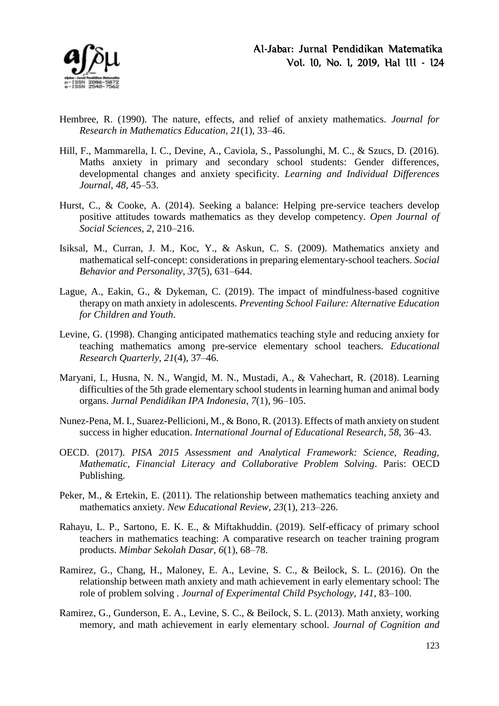

- Hembree, R. (1990). The nature, effects, and relief of anxiety mathematics. *Journal for Research in Mathematics Education*, *21*(1), 33–46.
- Hill, F., Mammarella, I. C., Devine, A., Caviola, S., Passolunghi, M. C., & Szucs, D. (2016). Maths anxiety in primary and secondary school students: Gender differences, developmental changes and anxiety specificity. *Learning and Individual Differences Journal*, *48*, 45–53.
- Hurst, C., & Cooke, A. (2014). Seeking a balance: Helping pre-service teachers develop positive attitudes towards mathematics as they develop competency. *Open Journal of Social Sciences*, *2*, 210–216.
- Isiksal, M., Curran, J. M., Koc, Y., & Askun, C. S. (2009). Mathematics anxiety and mathematical self-concept: considerations in preparing elementary-school teachers. *Social Behavior and Personality*, *37*(5), 631–644.
- Lague, A., Eakin, G., & Dykeman, C. (2019). The impact of mindfulness-based cognitive therapy on math anxiety in adolescents. *Preventing School Failure: Alternative Education for Children and Youth*.
- Levine, G. (1998). Changing anticipated mathematics teaching style and reducing anxiety for teaching mathematics among pre-service elementary school teachers. *Educational Research Quarterly*, *21*(4), 37–46.
- Maryani, I., Husna, N. N., Wangid, M. N., Mustadi, A., & Vahechart, R. (2018). Learning difficulties of the 5th grade elementary school students in learning human and animal body organs. *Jurnal Pendidikan IPA Indonesia*, *7*(1), 96–105.
- Nunez-Pena, M. I., Suarez-Pellicioni, M., & Bono, R. (2013). Effects of math anxiety on student success in higher education. *International Journal of Educational Research*, *58*, 36–43.
- OECD. (2017). *PISA 2015 Assessment and Analytical Framework: Science, Reading, Mathematic, Financial Literacy and Collaborative Problem Solving*. Paris: OECD Publishing.
- Peker, M., & Ertekin, E. (2011). The relationship between mathematics teaching anxiety and mathematics anxiety. *New Educational Review*, *23*(1), 213–226.
- Rahayu, L. P., Sartono, E. K. E., & Miftakhuddin. (2019). Self-efficacy of primary school teachers in mathematics teaching: A comparative research on teacher training program products. *Mimbar Sekolah Dasar*, *6*(1), 68–78.
- Ramirez, G., Chang, H., Maloney, E. A., Levine, S. C., & Beilock, S. L. (2016). On the relationship between math anxiety and math achievement in early elementary school: The role of problem solving . *Journal of Experimental Child Psychology*, *141*, 83–100.
- Ramirez, G., Gunderson, E. A., Levine, S. C., & Beilock, S. L. (2013). Math anxiety, working memory, and math achievement in early elementary school. *Journal of Cognition and*